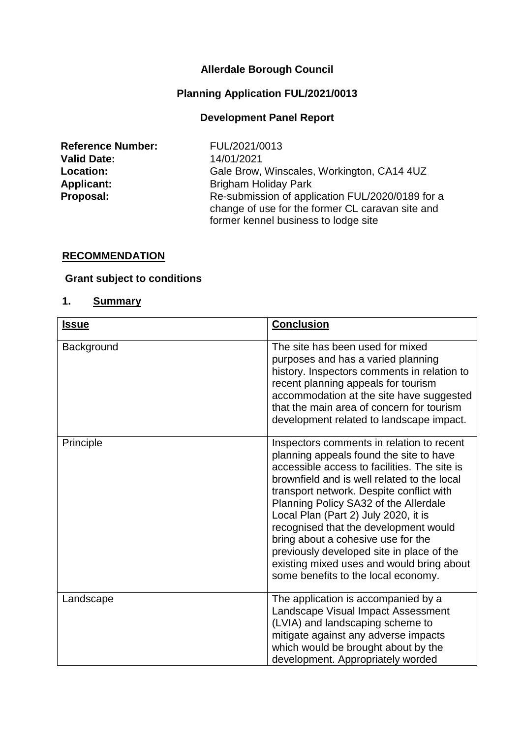#### **Allerdale Borough Council**

#### **Planning Application FUL/2021/0013**

#### **Development Panel Report**

**Reference Number:** FUL/2021/0013 **Valid Date:** 14/01/2021

Location: Gale Brow, Winscales, Workington, CA14 4UZ **Applicant:** Brigham Holiday Park **Proposal:** Re-submission of application FUL/2020/0189 for a change of use for the former CL caravan site and former kennel business to lodge site

#### **RECOMMENDATION**

#### **Grant subject to conditions**

#### **1. Summary**

| <b>Issue</b> | <b>Conclusion</b>                                                                                                                                                                                                                                                                                                                                                                                                                                                                                                                |
|--------------|----------------------------------------------------------------------------------------------------------------------------------------------------------------------------------------------------------------------------------------------------------------------------------------------------------------------------------------------------------------------------------------------------------------------------------------------------------------------------------------------------------------------------------|
| Background   | The site has been used for mixed<br>purposes and has a varied planning<br>history. Inspectors comments in relation to<br>recent planning appeals for tourism<br>accommodation at the site have suggested<br>that the main area of concern for tourism<br>development related to landscape impact.                                                                                                                                                                                                                                |
| Principle    | Inspectors comments in relation to recent<br>planning appeals found the site to have<br>accessible access to facilities. The site is<br>brownfield and is well related to the local<br>transport network. Despite conflict with<br>Planning Policy SA32 of the Allerdale<br>Local Plan (Part 2) July 2020, it is<br>recognised that the development would<br>bring about a cohesive use for the<br>previously developed site in place of the<br>existing mixed uses and would bring about<br>some benefits to the local economy. |
| Landscape    | The application is accompanied by a<br>Landscape Visual Impact Assessment<br>(LVIA) and landscaping scheme to<br>mitigate against any adverse impacts<br>which would be brought about by the<br>development. Appropriately worded                                                                                                                                                                                                                                                                                                |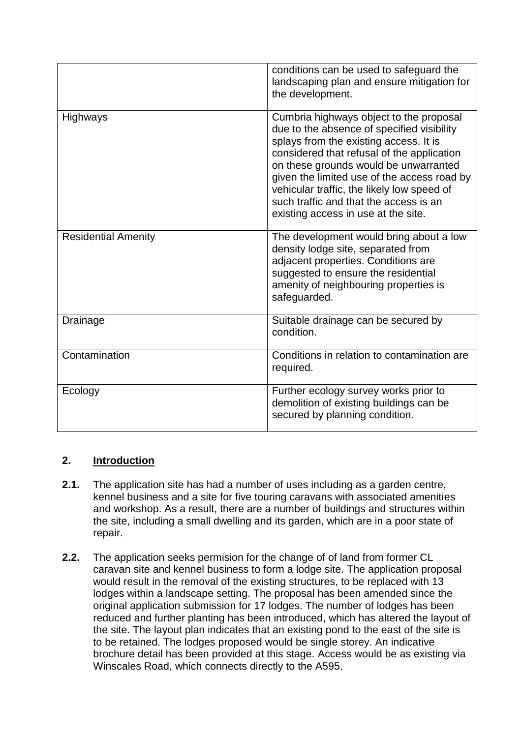|                            | conditions can be used to safeguard the<br>landscaping plan and ensure mitigation for<br>the development.                                                                                                                                                                                                                                                                                            |
|----------------------------|------------------------------------------------------------------------------------------------------------------------------------------------------------------------------------------------------------------------------------------------------------------------------------------------------------------------------------------------------------------------------------------------------|
| Highways                   | Cumbria highways object to the proposal<br>due to the absence of specified visibility<br>splays from the existing access. It is<br>considered that refusal of the application<br>on these grounds would be unwarranted<br>given the limited use of the access road by<br>vehicular traffic, the likely low speed of<br>such traffic and that the access is an<br>existing access in use at the site. |
| <b>Residential Amenity</b> | The development would bring about a low<br>density lodge site, separated from<br>adjacent properties. Conditions are<br>suggested to ensure the residential<br>amenity of neighbouring properties is<br>safeguarded.                                                                                                                                                                                 |
| Drainage                   | Suitable drainage can be secured by<br>condition.                                                                                                                                                                                                                                                                                                                                                    |
| Contamination              | Conditions in relation to contamination are<br>required.                                                                                                                                                                                                                                                                                                                                             |
| Ecology                    | Further ecology survey works prior to<br>demolition of existing buildings can be<br>secured by planning condition.                                                                                                                                                                                                                                                                                   |

# **2. Introduction**

- **2.1.** The application site has had a number of uses including as a garden centre, kennel business and a site for five touring caravans with associated amenities and workshop. As a result, there are a number of buildings and structures within the site, including a small dwelling and its garden, which are in a poor state of repair.
- **2.2.** The application seeks permision for the change of of land from former CL caravan site and kennel business to form a lodge site. The application proposal would result in the removal of the existing structures, to be replaced with 13 lodges within a landscape setting. The proposal has been amended since the original application submission for 17 lodges. The number of lodges has been reduced and further planting has been introduced, which has altered the layout of the site. The layout plan indicates that an existing pond to the east of the site is to be retained. The lodges proposed would be single storey. An indicative brochure detail has been provided at this stage. Access would be as existing via Winscales Road, which connects directly to the A595.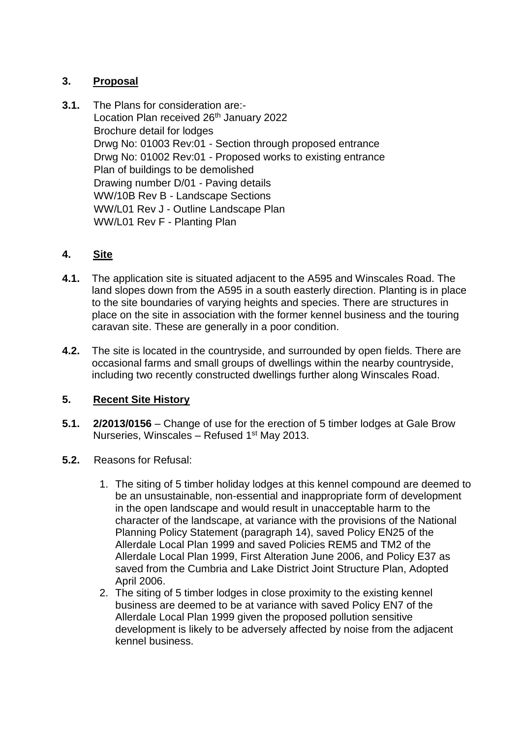## **3. Proposal**

**3.1.** The Plans for consideration are:- Location Plan received 26<sup>th</sup> January 2022 Brochure detail for lodges Drwg No: 01003 Rev:01 - Section through proposed entrance Drwg No: 01002 Rev:01 - Proposed works to existing entrance Plan of buildings to be demolished Drawing number D/01 - Paving details WW/10B Rev B - Landscape Sections WW/L01 Rev J - Outline Landscape Plan WW/L01 Rev F - Planting Plan

## **4. Site**

- **4.1.** The application site is situated adjacent to the A595 and Winscales Road. The land slopes down from the A595 in a south easterly direction. Planting is in place to the site boundaries of varying heights and species. There are structures in place on the site in association with the former kennel business and the touring caravan site. These are generally in a poor condition.
- **4.2.** The site is located in the countryside, and surrounded by open fields. There are occasional farms and small groups of dwellings within the nearby countryside, including two recently constructed dwellings further along Winscales Road.

## **5. Recent Site History**

- **5.1. 2/2013/0156** Change of use for the erection of 5 timber lodges at Gale Brow Nurseries, Winscales – Refused  $1<sup>st</sup>$  May 2013.
- **5.2.** Reasons for Refusal:
	- 1. The siting of 5 timber holiday lodges at this kennel compound are deemed to be an unsustainable, non-essential and inappropriate form of development in the open landscape and would result in unacceptable harm to the character of the landscape, at variance with the provisions of the National Planning Policy Statement (paragraph 14), saved Policy EN25 of the Allerdale Local Plan 1999 and saved Policies REM5 and TM2 of the Allerdale Local Plan 1999, First Alteration June 2006, and Policy E37 as saved from the Cumbria and Lake District Joint Structure Plan, Adopted April 2006.
	- 2. The siting of 5 timber lodges in close proximity to the existing kennel business are deemed to be at variance with saved Policy EN7 of the Allerdale Local Plan 1999 given the proposed pollution sensitive development is likely to be adversely affected by noise from the adjacent kennel business.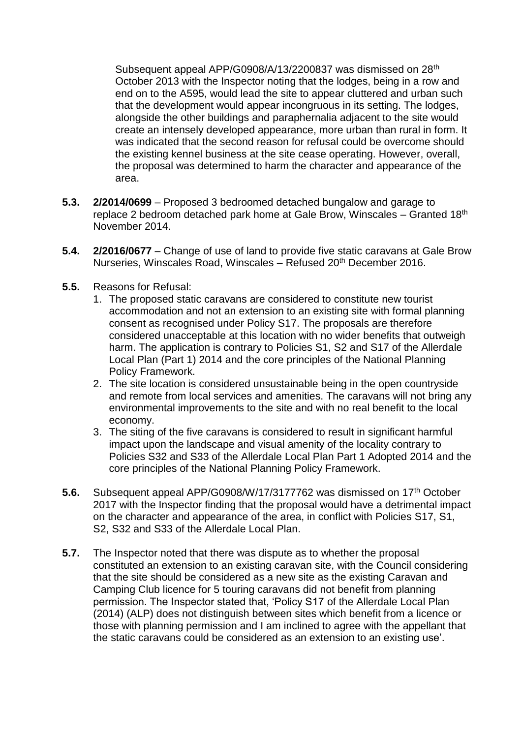Subsequent appeal APP/G0908/A/13/2200837 was dismissed on 28<sup>th</sup> October 2013 with the Inspector noting that the lodges, being in a row and end on to the A595, would lead the site to appear cluttered and urban such that the development would appear incongruous in its setting. The lodges, alongside the other buildings and paraphernalia adjacent to the site would create an intensely developed appearance, more urban than rural in form. It was indicated that the second reason for refusal could be overcome should the existing kennel business at the site cease operating. However, overall, the proposal was determined to harm the character and appearance of the area.

- **5.3. 2/2014/0699** Proposed 3 bedroomed detached bungalow and garage to replace 2 bedroom detached park home at Gale Brow, Winscales – Granted 18th November 2014.
- **5.4. 2/2016/0677** Change of use of land to provide five static caravans at Gale Brow Nurseries, Winscales Road, Winscales - Refused 20<sup>th</sup> December 2016.
- **5.5.** Reasons for Refusal:
	- 1. The proposed static caravans are considered to constitute new tourist accommodation and not an extension to an existing site with formal planning consent as recognised under Policy S17. The proposals are therefore considered unacceptable at this location with no wider benefits that outweigh harm. The application is contrary to Policies S1, S2 and S17 of the Allerdale Local Plan (Part 1) 2014 and the core principles of the National Planning Policy Framework.
	- 2. The site location is considered unsustainable being in the open countryside and remote from local services and amenities. The caravans will not bring any environmental improvements to the site and with no real benefit to the local economy.
	- 3. The siting of the five caravans is considered to result in significant harmful impact upon the landscape and visual amenity of the locality contrary to Policies S32 and S33 of the Allerdale Local Plan Part 1 Adopted 2014 and the core principles of the National Planning Policy Framework.
- **5.6.** Subsequent appeal APP/G0908/W/17/3177762 was dismissed on 17<sup>th</sup> October 2017 with the Inspector finding that the proposal would have a detrimental impact on the character and appearance of the area, in conflict with Policies S17, S1, S2, S32 and S33 of the Allerdale Local Plan.
- **5.7.** The Inspector noted that there was dispute as to whether the proposal constituted an extension to an existing caravan site, with the Council considering that the site should be considered as a new site as the existing Caravan and Camping Club licence for 5 touring caravans did not benefit from planning permission. The Inspector stated that, 'Policy S17 of the Allerdale Local Plan (2014) (ALP) does not distinguish between sites which benefit from a licence or those with planning permission and I am inclined to agree with the appellant that the static caravans could be considered as an extension to an existing use'.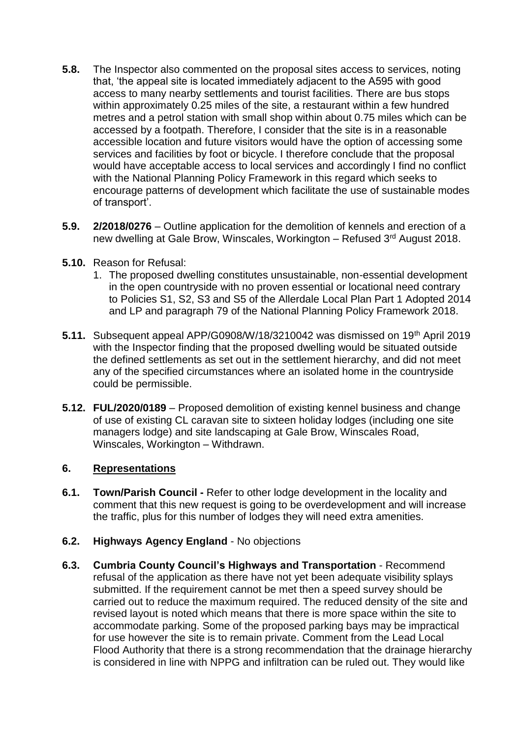- **5.8.** The Inspector also commented on the proposal sites access to services, noting that, 'the appeal site is located immediately adjacent to the A595 with good access to many nearby settlements and tourist facilities. There are bus stops within approximately 0.25 miles of the site, a restaurant within a few hundred metres and a petrol station with small shop within about 0.75 miles which can be accessed by a footpath. Therefore, I consider that the site is in a reasonable accessible location and future visitors would have the option of accessing some services and facilities by foot or bicycle. I therefore conclude that the proposal would have acceptable access to local services and accordingly I find no conflict with the National Planning Policy Framework in this regard which seeks to encourage patterns of development which facilitate the use of sustainable modes of transport'.
- **5.9. 2/2018/0276** Outline application for the demolition of kennels and erection of a new dwelling at Gale Brow, Winscales, Workington – Refused 3rd August 2018.
- **5.10.** Reason for Refusal:
	- 1. The proposed dwelling constitutes unsustainable, non-essential development in the open countryside with no proven essential or locational need contrary to Policies S1, S2, S3 and S5 of the Allerdale Local Plan Part 1 Adopted 2014 and LP and paragraph 79 of the National Planning Policy Framework 2018.
- **5.11.** Subsequent appeal APP/G0908/W/18/3210042 was dismissed on 19<sup>th</sup> April 2019 with the Inspector finding that the proposed dwelling would be situated outside the defined settlements as set out in the settlement hierarchy, and did not meet any of the specified circumstances where an isolated home in the countryside could be permissible.
- **5.12. FUL/2020/0189** Proposed demolition of existing kennel business and change of use of existing CL caravan site to sixteen holiday lodges (including one site managers lodge) and site landscaping at Gale Brow, Winscales Road, Winscales, Workington – Withdrawn.

## **6. Representations**

- **6.1. Town/Parish Council -** Refer to other lodge development in the locality and comment that this new request is going to be overdevelopment and will increase the traffic, plus for this number of lodges they will need extra amenities.
- **6.2. Highways Agency England** No objections
- **6.3. Cumbria County Council's Highways and Transportation** Recommend refusal of the application as there have not yet been adequate visibility splays submitted. If the requirement cannot be met then a speed survey should be carried out to reduce the maximum required. The reduced density of the site and revised layout is noted which means that there is more space within the site to accommodate parking. Some of the proposed parking bays may be impractical for use however the site is to remain private. Comment from the Lead Local Flood Authority that there is a strong recommendation that the drainage hierarchy is considered in line with NPPG and infiltration can be ruled out. They would like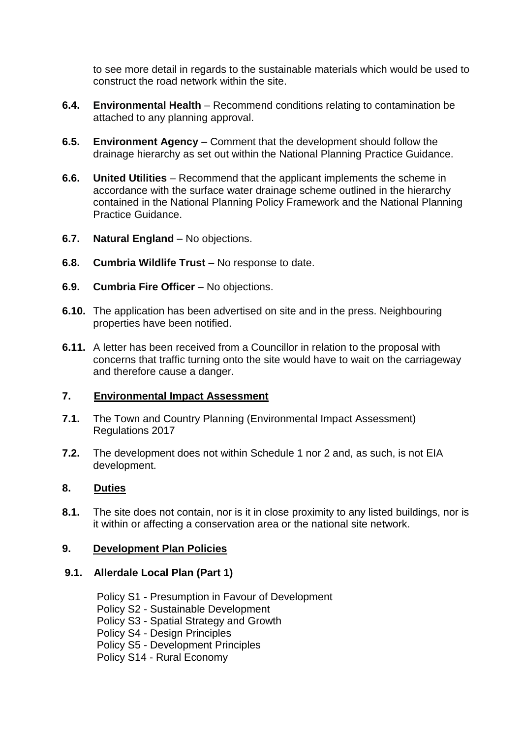to see more detail in regards to the sustainable materials which would be used to construct the road network within the site.

- **6.4. Environmental Health** Recommend conditions relating to contamination be attached to any planning approval.
- **6.5. Environment Agency** Comment that the development should follow the drainage hierarchy as set out within the National Planning Practice Guidance.
- **6.6. United Utilities** Recommend that the applicant implements the scheme in accordance with the surface water drainage scheme outlined in the hierarchy contained in the National Planning Policy Framework and the National Planning Practice Guidance.
- **6.7. Natural England** No objections.
- **6.8. Cumbria Wildlife Trust** No response to date.
- **6.9. Cumbria Fire Officer** No objections.
- **6.10.** The application has been advertised on site and in the press. Neighbouring properties have been notified.
- **6.11.** A letter has been received from a Councillor in relation to the proposal with concerns that traffic turning onto the site would have to wait on the carriageway and therefore cause a danger.

## **7. Environmental Impact Assessment**

- **7.1.** The Town and Country Planning (Environmental Impact Assessment) Regulations 2017
- **7.2.** The development does not within Schedule 1 nor 2 and, as such, is not EIA development.

## **8. Duties**

**8.1.** The site does not contain, nor is it in close proximity to any listed buildings, nor is it within or affecting a conservation area or the national site network.

## **9. Development Plan Policies**

## **9.1. Allerdale Local Plan (Part 1)**

Policy S1 - Presumption in Favour of Development Policy S2 - Sustainable Development Policy S3 - Spatial Strategy and Growth Policy S4 - Design Principles Policy S5 - Development Principles Policy S14 - Rural Economy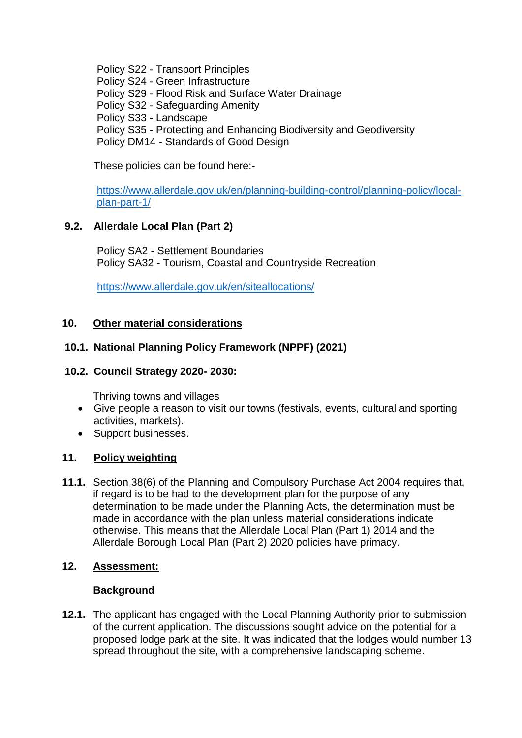Policy S22 - Transport Principles

Policy S24 - Green Infrastructure

Policy S29 - Flood Risk and Surface Water Drainage

Policy S32 - Safeguarding Amenity

Policy S33 - Landscape

Policy S35 - Protecting and Enhancing Biodiversity and Geodiversity

Policy DM14 - Standards of Good Design

These policies can be found here:-

[https://www.allerdale.gov.uk/en/planning-building-control/planning-policy/local](https://www.allerdale.gov.uk/en/planning-building-control/planning-policy/local-plan-part-1/)[plan-part-1/](https://www.allerdale.gov.uk/en/planning-building-control/planning-policy/local-plan-part-1/)

# **9.2. Allerdale Local Plan (Part 2)**

Policy SA2 - Settlement Boundaries Policy SA32 - Tourism, Coastal and Countryside Recreation

<https://www.allerdale.gov.uk/en/siteallocations/>

## **10. Other material considerations**

## **10.1. National Planning Policy Framework (NPPF) (2021)**

#### **10.2. Council Strategy 2020- 2030:**

Thriving towns and villages

- Give people a reason to visit our towns (festivals, events, cultural and sporting activities, markets).
- Support businesses.

## **11. Policy weighting**

**11.1.** Section 38(6) of the Planning and Compulsory Purchase Act 2004 requires that, if regard is to be had to the development plan for the purpose of any determination to be made under the Planning Acts, the determination must be made in accordance with the plan unless material considerations indicate otherwise. This means that the Allerdale Local Plan (Part 1) 2014 and the Allerdale Borough Local Plan (Part 2) 2020 policies have primacy.

## **12. Assessment:**

## **Background**

**12.1.** The applicant has engaged with the Local Planning Authority prior to submission of the current application. The discussions sought advice on the potential for a proposed lodge park at the site. It was indicated that the lodges would number 13 spread throughout the site, with a comprehensive landscaping scheme.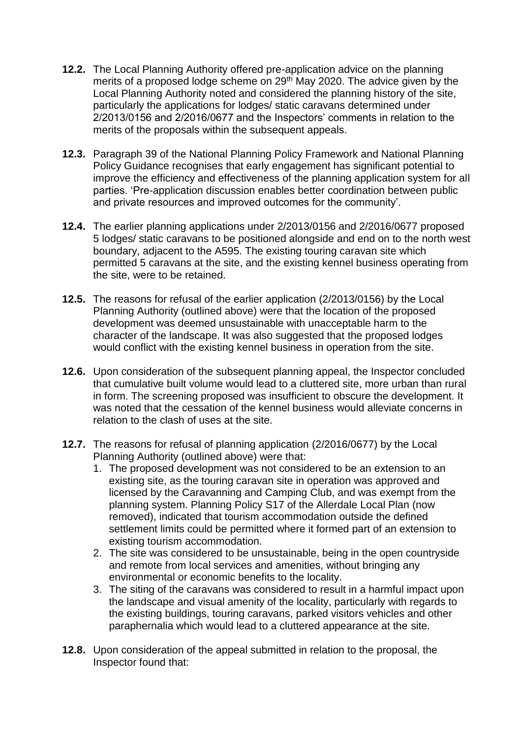- **12.2.** The Local Planning Authority offered pre-application advice on the planning merits of a proposed lodge scheme on 29<sup>th</sup> May 2020. The advice given by the Local Planning Authority noted and considered the planning history of the site, particularly the applications for lodges/ static caravans determined under 2/2013/0156 and 2/2016/0677 and the Inspectors' comments in relation to the merits of the proposals within the subsequent appeals.
- **12.3.** Paragraph 39 of the National Planning Policy Framework and National Planning Policy Guidance recognises that early engagement has significant potential to improve the efficiency and effectiveness of the planning application system for all parties. 'Pre-application discussion enables better coordination between public and private resources and improved outcomes for the community'.
- **12.4.** The earlier planning applications under 2/2013/0156 and 2/2016/0677 proposed 5 lodges/ static caravans to be positioned alongside and end on to the north west boundary, adjacent to the A595. The existing touring caravan site which permitted 5 caravans at the site, and the existing kennel business operating from the site, were to be retained.
- **12.5.** The reasons for refusal of the earlier application (2/2013/0156) by the Local Planning Authority (outlined above) were that the location of the proposed development was deemed unsustainable with unacceptable harm to the character of the landscape. It was also suggested that the proposed lodges would conflict with the existing kennel business in operation from the site.
- **12.6.** Upon consideration of the subsequent planning appeal, the Inspector concluded that cumulative built volume would lead to a cluttered site, more urban than rural in form. The screening proposed was insufficient to obscure the development. It was noted that the cessation of the kennel business would alleviate concerns in relation to the clash of uses at the site.
- **12.7.** The reasons for refusal of planning application (2/2016/0677) by the Local Planning Authority (outlined above) were that:
	- 1. The proposed development was not considered to be an extension to an existing site, as the touring caravan site in operation was approved and licensed by the Caravanning and Camping Club, and was exempt from the planning system. Planning Policy S17 of the Allerdale Local Plan (now removed), indicated that tourism accommodation outside the defined settlement limits could be permitted where it formed part of an extension to existing tourism accommodation.
	- 2. The site was considered to be unsustainable, being in the open countryside and remote from local services and amenities, without bringing any environmental or economic benefits to the locality.
	- 3. The siting of the caravans was considered to result in a harmful impact upon the landscape and visual amenity of the locality, particularly with regards to the existing buildings, touring caravans, parked visitors vehicles and other paraphernalia which would lead to a cluttered appearance at the site.
- **12.8.** Upon consideration of the appeal submitted in relation to the proposal, the Inspector found that: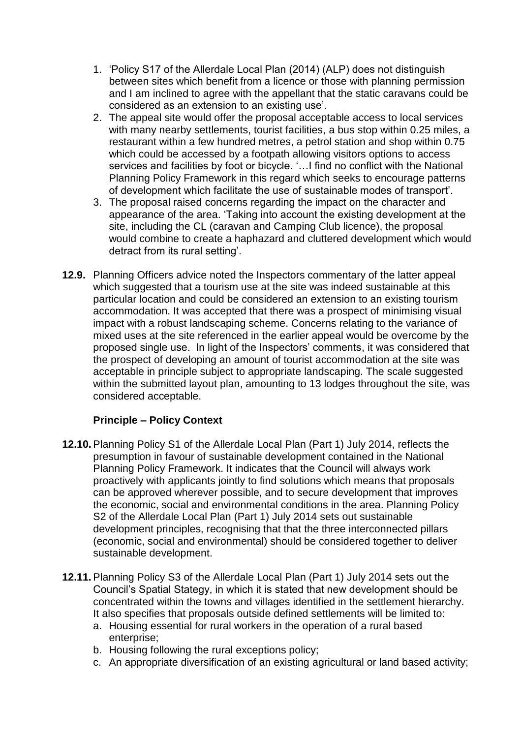- 1. 'Policy S17 of the Allerdale Local Plan (2014) (ALP) does not distinguish between sites which benefit from a licence or those with planning permission and I am inclined to agree with the appellant that the static caravans could be considered as an extension to an existing use'.
- 2. The appeal site would offer the proposal acceptable access to local services with many nearby settlements, tourist facilities, a bus stop within 0.25 miles, a restaurant within a few hundred metres, a petrol station and shop within 0.75 which could be accessed by a footpath allowing visitors options to access services and facilities by foot or bicycle. '…I find no conflict with the National Planning Policy Framework in this regard which seeks to encourage patterns of development which facilitate the use of sustainable modes of transport'.
- 3. The proposal raised concerns regarding the impact on the character and appearance of the area. 'Taking into account the existing development at the site, including the CL (caravan and Camping Club licence), the proposal would combine to create a haphazard and cluttered development which would detract from its rural setting'.
- **12.9.** Planning Officers advice noted the Inspectors commentary of the latter appeal which suggested that a tourism use at the site was indeed sustainable at this particular location and could be considered an extension to an existing tourism accommodation. It was accepted that there was a prospect of minimising visual impact with a robust landscaping scheme. Concerns relating to the variance of mixed uses at the site referenced in the earlier appeal would be overcome by the proposed single use. In light of the Inspectors' comments, it was considered that the prospect of developing an amount of tourist accommodation at the site was acceptable in principle subject to appropriate landscaping. The scale suggested within the submitted layout plan, amounting to 13 lodges throughout the site, was considered acceptable.

## **Principle – Policy Context**

- **12.10.**Planning Policy S1 of the Allerdale Local Plan (Part 1) July 2014, reflects the presumption in favour of sustainable development contained in the National Planning Policy Framework. It indicates that the Council will always work proactively with applicants jointly to find solutions which means that proposals can be approved wherever possible, and to secure development that improves the economic, social and environmental conditions in the area. Planning Policy S2 of the Allerdale Local Plan (Part 1) July 2014 sets out sustainable development principles, recognising that that the three interconnected pillars (economic, social and environmental) should be considered together to deliver sustainable development.
- **12.11.**Planning Policy S3 of the Allerdale Local Plan (Part 1) July 2014 sets out the Council's Spatial Stategy, in which it is stated that new development should be concentrated within the towns and villages identified in the settlement hierarchy. It also specifies that proposals outside defined settlements will be limited to:
	- a. Housing essential for rural workers in the operation of a rural based enterprise;
	- b. Housing following the rural exceptions policy;
	- c. An appropriate diversification of an existing agricultural or land based activity;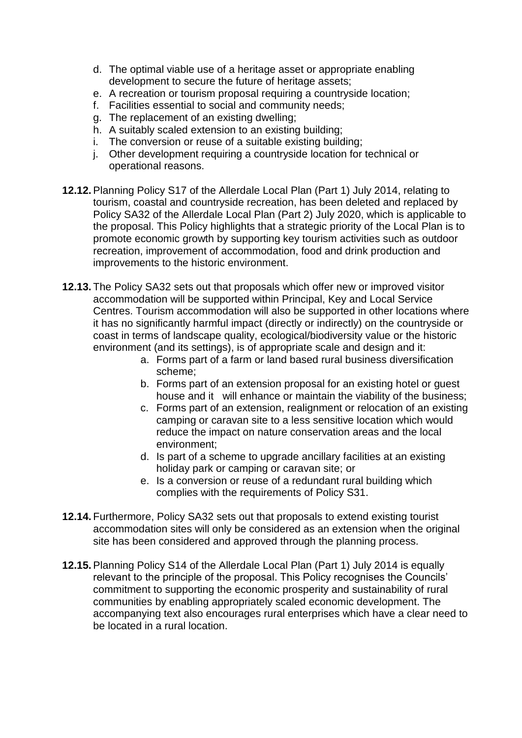- d. The optimal viable use of a heritage asset or appropriate enabling development to secure the future of heritage assets;
- e. A recreation or tourism proposal requiring a countryside location;
- f. Facilities essential to social and community needs;
- g. The replacement of an existing dwelling;
- h. A suitably scaled extension to an existing building;
- i. The conversion or reuse of a suitable existing building;
- j. Other development requiring a countryside location for technical or operational reasons.
- **12.12.**Planning Policy S17 of the Allerdale Local Plan (Part 1) July 2014, relating to tourism, coastal and countryside recreation, has been deleted and replaced by Policy SA32 of the Allerdale Local Plan (Part 2) July 2020, which is applicable to the proposal. This Policy highlights that a strategic priority of the Local Plan is to promote economic growth by supporting key tourism activities such as outdoor recreation, improvement of accommodation, food and drink production and improvements to the historic environment.
- **12.13.** The Policy SA32 sets out that proposals which offer new or improved visitor accommodation will be supported within Principal, Key and Local Service Centres. Tourism accommodation will also be supported in other locations where it has no significantly harmful impact (directly or indirectly) on the countryside or coast in terms of landscape quality, ecological/biodiversity value or the historic environment (and its settings), is of appropriate scale and design and it:
	- a. Forms part of a farm or land based rural business diversification scheme;
	- b. Forms part of an extension proposal for an existing hotel or guest house and it will enhance or maintain the viability of the business;
	- c. Forms part of an extension, realignment or relocation of an existing camping or caravan site to a less sensitive location which would reduce the impact on nature conservation areas and the local environment;
	- d. Is part of a scheme to upgrade ancillary facilities at an existing holiday park or camping or caravan site; or
	- e. Is a conversion or reuse of a redundant rural building which complies with the requirements of Policy S31.
- **12.14.** Furthermore, Policy SA32 sets out that proposals to extend existing tourist accommodation sites will only be considered as an extension when the original site has been considered and approved through the planning process.
- **12.15.**Planning Policy S14 of the Allerdale Local Plan (Part 1) July 2014 is equally relevant to the principle of the proposal. This Policy recognises the Councils' commitment to supporting the economic prosperity and sustainability of rural communities by enabling appropriately scaled economic development. The accompanying text also encourages rural enterprises which have a clear need to be located in a rural location.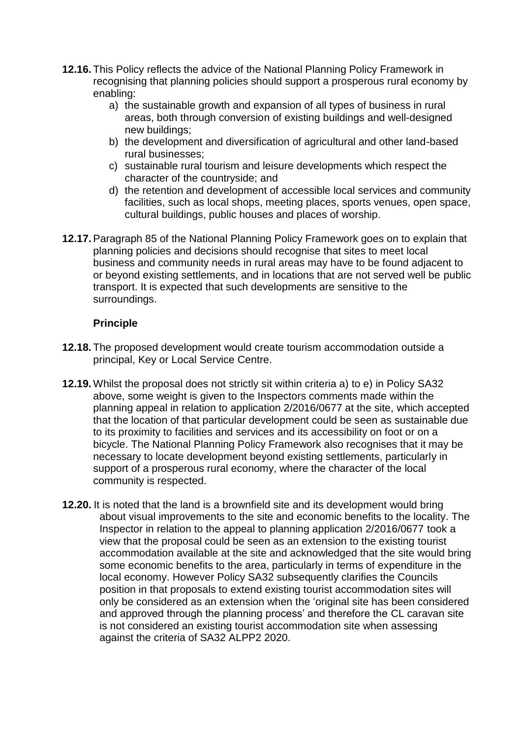- **12.16.** This Policy reflects the advice of the National Planning Policy Framework in recognising that planning policies should support a prosperous rural economy by enabling:
	- a) the sustainable growth and expansion of all types of business in rural areas, both through conversion of existing buildings and well-designed new buildings;
	- b) the development and diversification of agricultural and other land-based rural businesses;
	- c) sustainable rural tourism and leisure developments which respect the character of the countryside; and
	- d) the retention and development of accessible local services and community facilities, such as local shops, meeting places, sports venues, open space, cultural buildings, public houses and places of worship.
- **12.17.**Paragraph 85 of the National Planning Policy Framework goes on to explain that planning policies and decisions should recognise that sites to meet local business and community needs in rural areas may have to be found adjacent to or beyond existing settlements, and in locations that are not served well be public transport. It is expected that such developments are sensitive to the surroundings.

#### **Principle**

- **12.18.** The proposed development would create tourism accommodation outside a principal, Key or Local Service Centre.
- **12.19.** Whilst the proposal does not strictly sit within criteria a) to e) in Policy SA32 above, some weight is given to the Inspectors comments made within the planning appeal in relation to application 2/2016/0677 at the site, which accepted that the location of that particular development could be seen as sustainable due to its proximity to facilities and services and its accessibility on foot or on a bicycle. The National Planning Policy Framework also recognises that it may be necessary to locate development beyond existing settlements, particularly in support of a prosperous rural economy, where the character of the local community is respected.
- **12.20.** It is noted that the land is a brownfield site and its development would bring about visual improvements to the site and economic benefits to the locality. The Inspector in relation to the appeal to planning application 2/2016/0677 took a view that the proposal could be seen as an extension to the existing tourist accommodation available at the site and acknowledged that the site would bring some economic benefits to the area, particularly in terms of expenditure in the local economy. However Policy SA32 subsequently clarifies the Councils position in that proposals to extend existing tourist accommodation sites will only be considered as an extension when the 'original site has been considered and approved through the planning process' and therefore the CL caravan site is not considered an existing tourist accommodation site when assessing against the criteria of SA32 ALPP2 2020.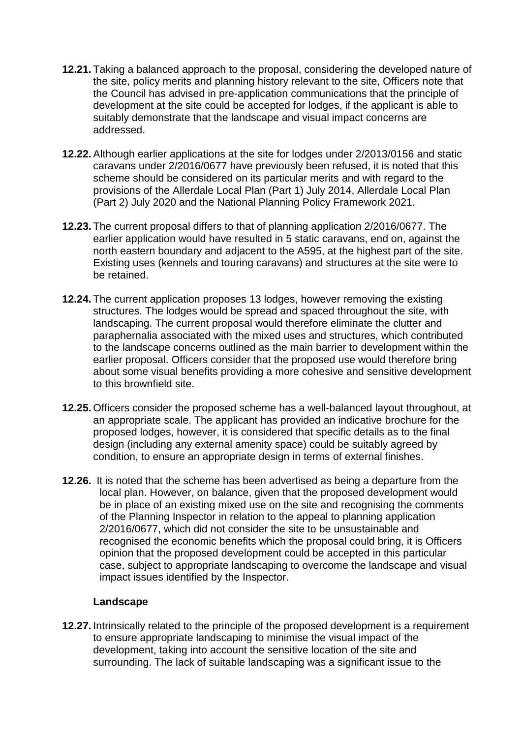- **12.21.** Taking a balanced approach to the proposal, considering the developed nature of the site, policy merits and planning history relevant to the site, Officers note that the Council has advised in pre-application communications that the principle of development at the site could be accepted for lodges, if the applicant is able to suitably demonstrate that the landscape and visual impact concerns are addressed.
- **12.22.**Although earlier applications at the site for lodges under 2/2013/0156 and static caravans under 2/2016/0677 have previously been refused, it is noted that this scheme should be considered on its particular merits and with regard to the provisions of the Allerdale Local Plan (Part 1) July 2014, Allerdale Local Plan (Part 2) July 2020 and the National Planning Policy Framework 2021.
- **12.23.** The current proposal differs to that of planning application 2/2016/0677. The earlier application would have resulted in 5 static caravans, end on, against the north eastern boundary and adjacent to the A595, at the highest part of the site. Existing uses (kennels and touring caravans) and structures at the site were to be retained.
- **12.24.** The current application proposes 13 lodges, however removing the existing structures. The lodges would be spread and spaced throughout the site, with landscaping. The current proposal would therefore eliminate the clutter and paraphernalia associated with the mixed uses and structures, which contributed to the landscape concerns outlined as the main barrier to development within the earlier proposal. Officers consider that the proposed use would therefore bring about some visual benefits providing a more cohesive and sensitive development to this brownfield site.
- **12.25.** Officers consider the proposed scheme has a well-balanced layout throughout, at an appropriate scale. The applicant has provided an indicative brochure for the proposed lodges, however, it is considered that specific details as to the final design (including any external amenity space) could be suitably agreed by condition, to ensure an appropriate design in terms of external finishes.
- **12.26.** It is noted that the scheme has been advertised as being a departure from the local plan. However, on balance, given that the proposed development would be in place of an existing mixed use on the site and recognising the comments of the Planning Inspector in relation to the appeal to planning application 2/2016/0677, which did not consider the site to be unsustainable and recognised the economic benefits which the proposal could bring, it is Officers opinion that the proposed development could be accepted in this particular case, subject to appropriate landscaping to overcome the landscape and visual impact issues identified by the Inspector.

## **Landscape**

**12.27.** Intrinsically related to the principle of the proposed development is a requirement to ensure appropriate landscaping to minimise the visual impact of the development, taking into account the sensitive location of the site and surrounding. The lack of suitable landscaping was a significant issue to the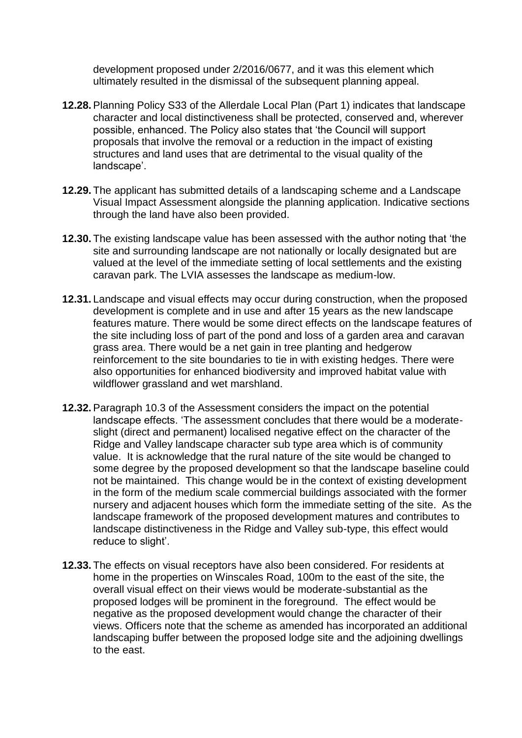development proposed under 2/2016/0677, and it was this element which ultimately resulted in the dismissal of the subsequent planning appeal.

- **12.28.**Planning Policy S33 of the Allerdale Local Plan (Part 1) indicates that landscape character and local distinctiveness shall be protected, conserved and, wherever possible, enhanced. The Policy also states that 'the Council will support proposals that involve the removal or a reduction in the impact of existing structures and land uses that are detrimental to the visual quality of the landscape'.
- **12.29.** The applicant has submitted details of a landscaping scheme and a Landscape Visual Impact Assessment alongside the planning application. Indicative sections through the land have also been provided.
- **12.30.** The existing landscape value has been assessed with the author noting that 'the site and surrounding landscape are not nationally or locally designated but are valued at the level of the immediate setting of local settlements and the existing caravan park. The LVIA assesses the landscape as medium-low.
- **12.31.** Landscape and visual effects may occur during construction, when the proposed development is complete and in use and after 15 years as the new landscape features mature. There would be some direct effects on the landscape features of the site including loss of part of the pond and loss of a garden area and caravan grass area. There would be a net gain in tree planting and hedgerow reinforcement to the site boundaries to tie in with existing hedges. There were also opportunities for enhanced biodiversity and improved habitat value with wildflower grassland and wet marshland.
- **12.32.**Paragraph 10.3 of the Assessment considers the impact on the potential landscape effects. 'The assessment concludes that there would be a moderateslight (direct and permanent) localised negative effect on the character of the Ridge and Valley landscape character sub type area which is of community value. It is acknowledge that the rural nature of the site would be changed to some degree by the proposed development so that the landscape baseline could not be maintained. This change would be in the context of existing development in the form of the medium scale commercial buildings associated with the former nursery and adjacent houses which form the immediate setting of the site. As the landscape framework of the proposed development matures and contributes to landscape distinctiveness in the Ridge and Valley sub-type, this effect would reduce to slight'.
- **12.33.** The effects on visual receptors have also been considered. For residents at home in the properties on Winscales Road, 100m to the east of the site, the overall visual effect on their views would be moderate-substantial as the proposed lodges will be prominent in the foreground. The effect would be negative as the proposed development would change the character of their views. Officers note that the scheme as amended has incorporated an additional landscaping buffer between the proposed lodge site and the adjoining dwellings to the east.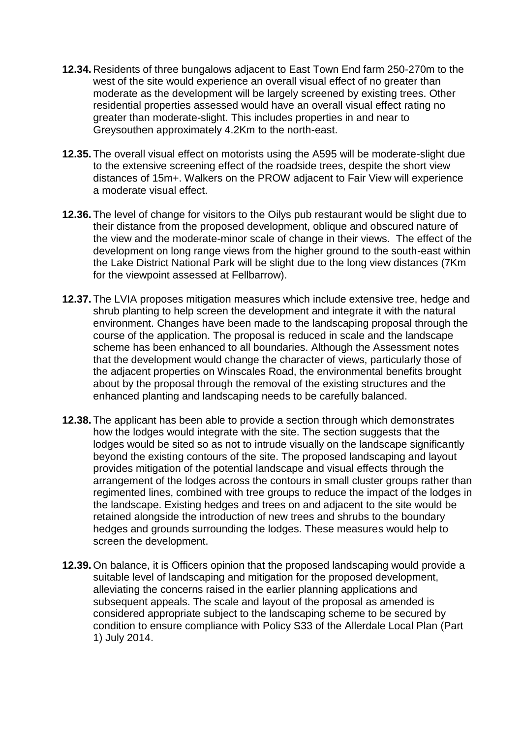- **12.34.** Residents of three bungalows adjacent to East Town End farm 250-270m to the west of the site would experience an overall visual effect of no greater than moderate as the development will be largely screened by existing trees. Other residential properties assessed would have an overall visual effect rating no greater than moderate-slight. This includes properties in and near to Greysouthen approximately 4.2Km to the north-east.
- **12.35.** The overall visual effect on motorists using the A595 will be moderate-slight due to the extensive screening effect of the roadside trees, despite the short view distances of 15m+. Walkers on the PROW adjacent to Fair View will experience a moderate visual effect.
- **12.36.** The level of change for visitors to the Oilys pub restaurant would be slight due to their distance from the proposed development, oblique and obscured nature of the view and the moderate-minor scale of change in their views. The effect of the development on long range views from the higher ground to the south-east within the Lake District National Park will be slight due to the long view distances (7Km for the viewpoint assessed at Fellbarrow).
- **12.37.** The LVIA proposes mitigation measures which include extensive tree, hedge and shrub planting to help screen the development and integrate it with the natural environment. Changes have been made to the landscaping proposal through the course of the application. The proposal is reduced in scale and the landscape scheme has been enhanced to all boundaries. Although the Assessment notes that the development would change the character of views, particularly those of the adjacent properties on Winscales Road, the environmental benefits brought about by the proposal through the removal of the existing structures and the enhanced planting and landscaping needs to be carefully balanced.
- **12.38.** The applicant has been able to provide a section through which demonstrates how the lodges would integrate with the site. The section suggests that the lodges would be sited so as not to intrude visually on the landscape significantly beyond the existing contours of the site. The proposed landscaping and layout provides mitigation of the potential landscape and visual effects through the arrangement of the lodges across the contours in small cluster groups rather than regimented lines, combined with tree groups to reduce the impact of the lodges in the landscape. Existing hedges and trees on and adjacent to the site would be retained alongside the introduction of new trees and shrubs to the boundary hedges and grounds surrounding the lodges. These measures would help to screen the development.
- **12.39.** On balance, it is Officers opinion that the proposed landscaping would provide a suitable level of landscaping and mitigation for the proposed development, alleviating the concerns raised in the earlier planning applications and subsequent appeals. The scale and layout of the proposal as amended is considered appropriate subject to the landscaping scheme to be secured by condition to ensure compliance with Policy S33 of the Allerdale Local Plan (Part 1) July 2014.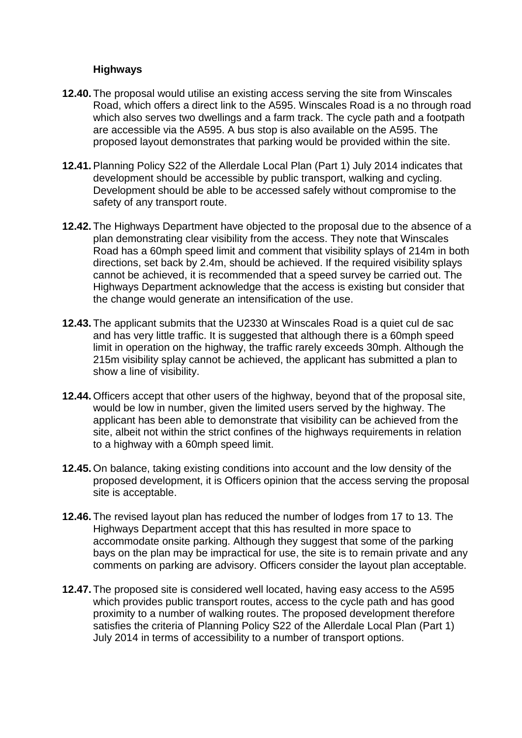#### **Highways**

- **12.40.** The proposal would utilise an existing access serving the site from Winscales Road, which offers a direct link to the A595. Winscales Road is a no through road which also serves two dwellings and a farm track. The cycle path and a footpath are accessible via the A595. A bus stop is also available on the A595. The proposed layout demonstrates that parking would be provided within the site.
- **12.41.**Planning Policy S22 of the Allerdale Local Plan (Part 1) July 2014 indicates that development should be accessible by public transport, walking and cycling. Development should be able to be accessed safely without compromise to the safety of any transport route.
- **12.42.** The Highways Department have objected to the proposal due to the absence of a plan demonstrating clear visibility from the access. They note that Winscales Road has a 60mph speed limit and comment that visibility splays of 214m in both directions, set back by 2.4m, should be achieved. If the required visibility splays cannot be achieved, it is recommended that a speed survey be carried out. The Highways Department acknowledge that the access is existing but consider that the change would generate an intensification of the use.
- **12.43.** The applicant submits that the U2330 at Winscales Road is a quiet cul de sac and has very little traffic. It is suggested that although there is a 60mph speed limit in operation on the highway, the traffic rarely exceeds 30mph. Although the 215m visibility splay cannot be achieved, the applicant has submitted a plan to show a line of visibility.
- **12.44.** Officers accept that other users of the highway, beyond that of the proposal site, would be low in number, given the limited users served by the highway. The applicant has been able to demonstrate that visibility can be achieved from the site, albeit not within the strict confines of the highways requirements in relation to a highway with a 60mph speed limit.
- **12.45.** On balance, taking existing conditions into account and the low density of the proposed development, it is Officers opinion that the access serving the proposal site is acceptable.
- **12.46.** The revised layout plan has reduced the number of lodges from 17 to 13. The Highways Department accept that this has resulted in more space to accommodate onsite parking. Although they suggest that some of the parking bays on the plan may be impractical for use, the site is to remain private and any comments on parking are advisory. Officers consider the layout plan acceptable.
- **12.47.** The proposed site is considered well located, having easy access to the A595 which provides public transport routes, access to the cycle path and has good proximity to a number of walking routes. The proposed development therefore satisfies the criteria of Planning Policy S22 of the Allerdale Local Plan (Part 1) July 2014 in terms of accessibility to a number of transport options.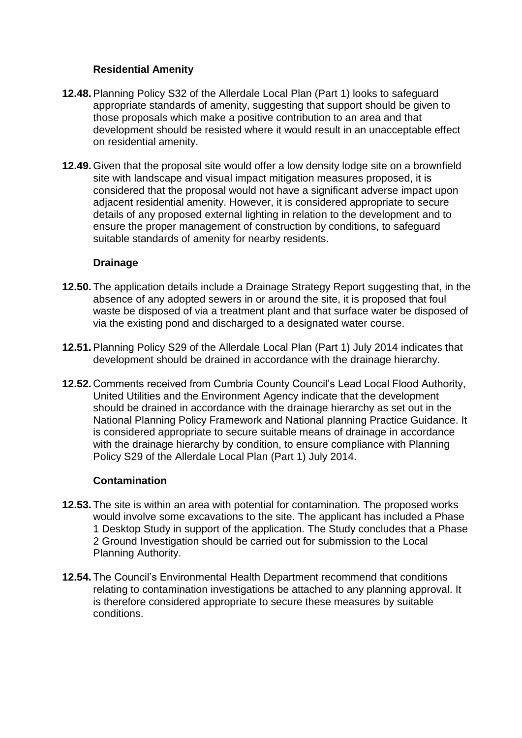### **Residential Amenity**

- **12.48.**Planning Policy S32 of the Allerdale Local Plan (Part 1) looks to safeguard appropriate standards of amenity, suggesting that support should be given to those proposals which make a positive contribution to an area and that development should be resisted where it would result in an unacceptable effect on residential amenity.
- **12.49.** Given that the proposal site would offer a low density lodge site on a brownfield site with landscape and visual impact mitigation measures proposed, it is considered that the proposal would not have a significant adverse impact upon adjacent residential amenity. However, it is considered appropriate to secure details of any proposed external lighting in relation to the development and to ensure the proper management of construction by conditions, to safeguard suitable standards of amenity for nearby residents.

#### **Drainage**

- **12.50.** The application details include a Drainage Strategy Report suggesting that, in the absence of any adopted sewers in or around the site, it is proposed that foul waste be disposed of via a treatment plant and that surface water be disposed of via the existing pond and discharged to a designated water course.
- **12.51.**Planning Policy S29 of the Allerdale Local Plan (Part 1) July 2014 indicates that development should be drained in accordance with the drainage hierarchy.
- **12.52.** Comments received from Cumbria County Council's Lead Local Flood Authority, United Utilities and the Environment Agency indicate that the development should be drained in accordance with the drainage hierarchy as set out in the National Planning Policy Framework and National planning Practice Guidance. It is considered appropriate to secure suitable means of drainage in accordance with the drainage hierarchy by condition, to ensure compliance with Planning Policy S29 of the Allerdale Local Plan (Part 1) July 2014.

#### **Contamination**

- **12.53.** The site is within an area with potential for contamination. The proposed works would involve some excavations to the site. The applicant has included a Phase 1 Desktop Study in support of the application. The Study concludes that a Phase 2 Ground Investigation should be carried out for submission to the Local Planning Authority.
- **12.54.** The Council's Environmental Health Department recommend that conditions relating to contamination investigations be attached to any planning approval. It is therefore considered appropriate to secure these measures by suitable conditions.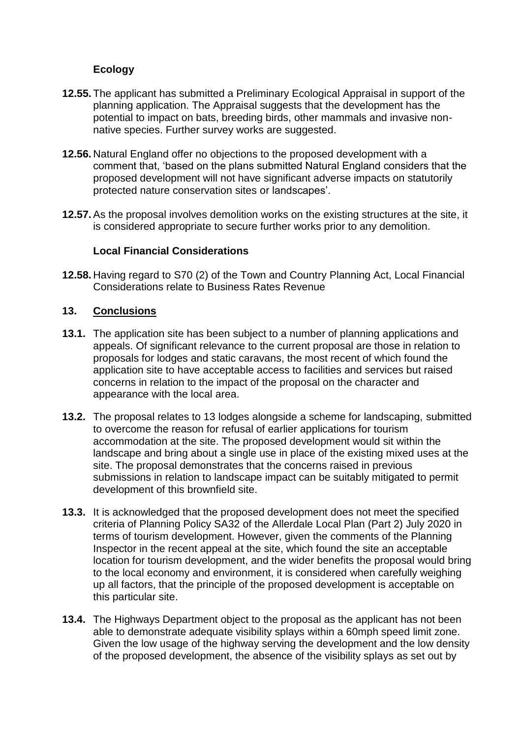#### **Ecology**

- **12.55.** The applicant has submitted a Preliminary Ecological Appraisal in support of the planning application. The Appraisal suggests that the development has the potential to impact on bats, breeding birds, other mammals and invasive nonnative species. Further survey works are suggested.
- **12.56.** Natural England offer no objections to the proposed development with a comment that, 'based on the plans submitted Natural England considers that the proposed development will not have significant adverse impacts on statutorily protected nature conservation sites or landscapes'.
- **12.57.**As the proposal involves demolition works on the existing structures at the site, it is considered appropriate to secure further works prior to any demolition.

#### **Local Financial Considerations**

**12.58.** Having regard to S70 (2) of the Town and Country Planning Act, Local Financial Considerations relate to Business Rates Revenue

#### **13. Conclusions**

- **13.1.** The application site has been subject to a number of planning applications and appeals. Of significant relevance to the current proposal are those in relation to proposals for lodges and static caravans, the most recent of which found the application site to have acceptable access to facilities and services but raised concerns in relation to the impact of the proposal on the character and appearance with the local area.
- **13.2.** The proposal relates to 13 lodges alongside a scheme for landscaping, submitted to overcome the reason for refusal of earlier applications for tourism accommodation at the site. The proposed development would sit within the landscape and bring about a single use in place of the existing mixed uses at the site. The proposal demonstrates that the concerns raised in previous submissions in relation to landscape impact can be suitably mitigated to permit development of this brownfield site.
- **13.3.** It is acknowledged that the proposed development does not meet the specified criteria of Planning Policy SA32 of the Allerdale Local Plan (Part 2) July 2020 in terms of tourism development. However, given the comments of the Planning Inspector in the recent appeal at the site, which found the site an acceptable location for tourism development, and the wider benefits the proposal would bring to the local economy and environment, it is considered when carefully weighing up all factors, that the principle of the proposed development is acceptable on this particular site.
- **13.4.** The Highways Department object to the proposal as the applicant has not been able to demonstrate adequate visibility splays within a 60mph speed limit zone. Given the low usage of the highway serving the development and the low density of the proposed development, the absence of the visibility splays as set out by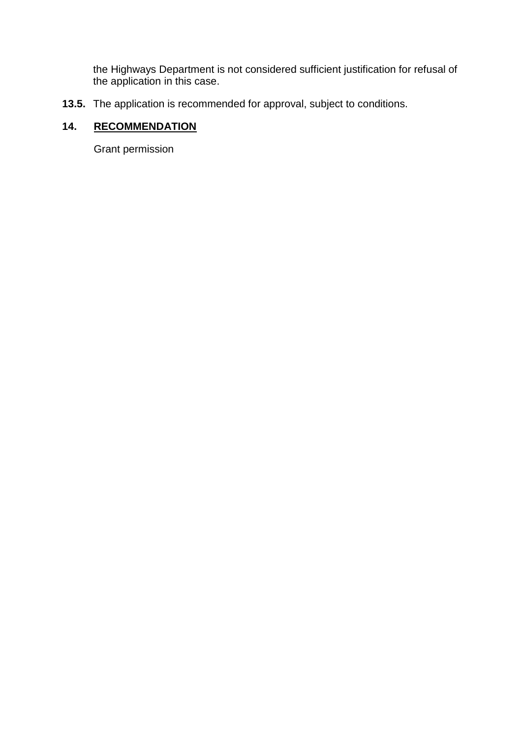the Highways Department is not considered sufficient justification for refusal of the application in this case.

**13.5.** The application is recommended for approval, subject to conditions.

# **14. RECOMMENDATION**

Grant permission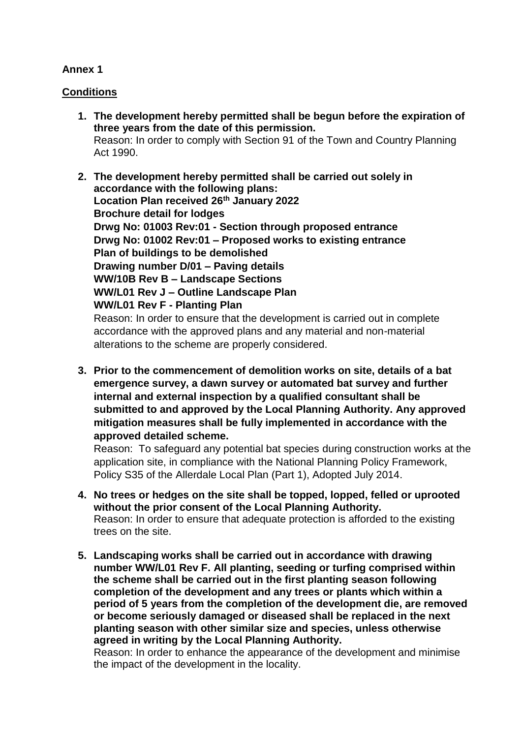## **Annex 1**

## **Conditions**

- **1. The development hereby permitted shall be begun before the expiration of three years from the date of this permission.** Reason: In order to comply with Section 91 of the Town and Country Planning Act 1990.
- **2. The development hereby permitted shall be carried out solely in accordance with the following plans: Location Plan received 26th January 2022 Brochure detail for lodges Drwg No: 01003 Rev:01 - Section through proposed entrance Drwg No: 01002 Rev:01 – Proposed works to existing entrance Plan of buildings to be demolished Drawing number D/01 – Paving details WW/10B Rev B – Landscape Sections WW/L01 Rev J – Outline Landscape Plan WW/L01 Rev F - Planting Plan** Reason: In order to ensure that the development is carried out in complete

accordance with the approved plans and any material and non-material alterations to the scheme are properly considered.

**3. Prior to the commencement of demolition works on site, details of a bat emergence survey, a dawn survey or automated bat survey and further internal and external inspection by a qualified consultant shall be submitted to and approved by the Local Planning Authority. Any approved mitigation measures shall be fully implemented in accordance with the approved detailed scheme.**

Reason: To safeguard any potential bat species during construction works at the application site, in compliance with the National Planning Policy Framework, Policy S35 of the Allerdale Local Plan (Part 1), Adopted July 2014.

- **4. No trees or hedges on the site shall be topped, lopped, felled or uprooted without the prior consent of the Local Planning Authority.**  Reason: In order to ensure that adequate protection is afforded to the existing trees on the site.
- **5. Landscaping works shall be carried out in accordance with drawing number WW/L01 Rev F. All planting, seeding or turfing comprised within the scheme shall be carried out in the first planting season following completion of the development and any trees or plants which within a period of 5 years from the completion of the development die, are removed or become seriously damaged or diseased shall be replaced in the next planting season with other similar size and species, unless otherwise agreed in writing by the Local Planning Authority.**

Reason: In order to enhance the appearance of the development and minimise the impact of the development in the locality.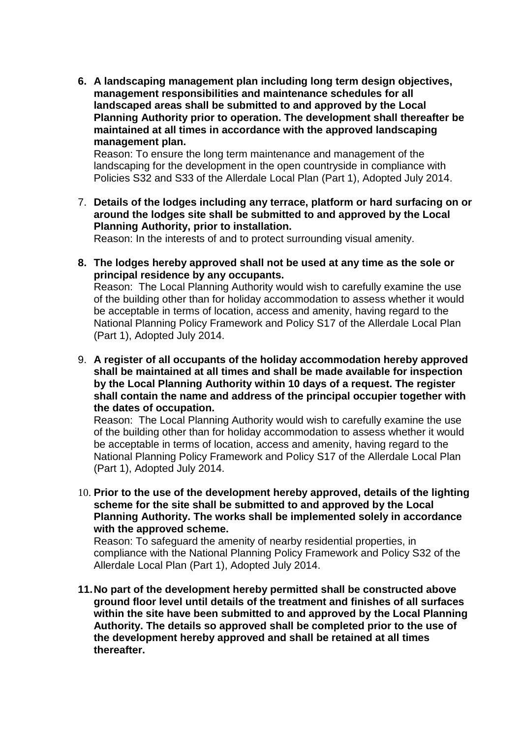**6. A landscaping management plan including long term design objectives, management responsibilities and maintenance schedules for all landscaped areas shall be submitted to and approved by the Local Planning Authority prior to operation. The development shall thereafter be maintained at all times in accordance with the approved landscaping management plan.** 

Reason: To ensure the long term maintenance and management of the landscaping for the development in the open countryside in compliance with Policies S32 and S33 of the Allerdale Local Plan (Part 1), Adopted July 2014.

7. **Details of the lodges including any terrace, platform or hard surfacing on or around the lodges site shall be submitted to and approved by the Local Planning Authority, prior to installation.**

Reason: In the interests of and to protect surrounding visual amenity.

**8. The lodges hereby approved shall not be used at any time as the sole or principal residence by any occupants.**

Reason: The Local Planning Authority would wish to carefully examine the use of the building other than for holiday accommodation to assess whether it would be acceptable in terms of location, access and amenity, having regard to the National Planning Policy Framework and Policy S17 of the Allerdale Local Plan (Part 1), Adopted July 2014.

9. **A register of all occupants of the holiday accommodation hereby approved shall be maintained at all times and shall be made available for inspection by the Local Planning Authority within 10 days of a request. The register shall contain the name and address of the principal occupier together with the dates of occupation.** 

Reason: The Local Planning Authority would wish to carefully examine the use of the building other than for holiday accommodation to assess whether it would be acceptable in terms of location, access and amenity, having regard to the National Planning Policy Framework and Policy S17 of the Allerdale Local Plan (Part 1), Adopted July 2014.

10. **Prior to the use of the development hereby approved, details of the lighting scheme for the site shall be submitted to and approved by the Local Planning Authority. The works shall be implemented solely in accordance with the approved scheme.**

Reason: To safeguard the amenity of nearby residential properties, in compliance with the National Planning Policy Framework and Policy S32 of the Allerdale Local Plan (Part 1), Adopted July 2014.

**11.No part of the development hereby permitted shall be constructed above ground floor level until details of the treatment and finishes of all surfaces within the site have been submitted to and approved by the Local Planning Authority. The details so approved shall be completed prior to the use of the development hereby approved and shall be retained at all times thereafter.**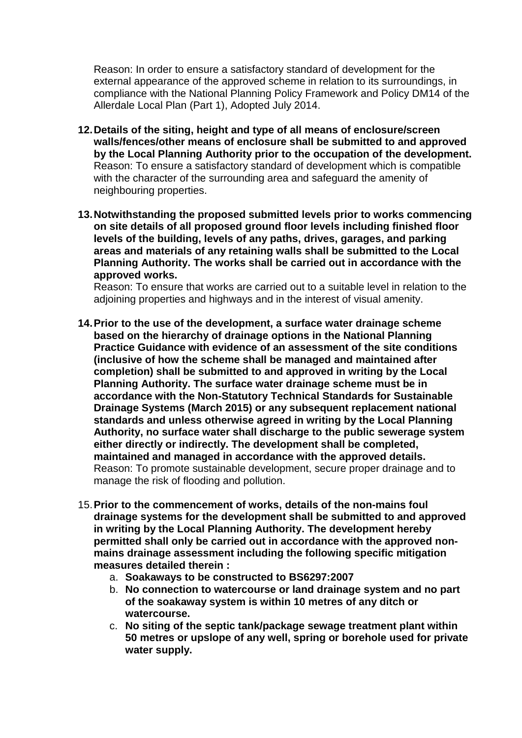Reason: In order to ensure a satisfactory standard of development for the external appearance of the approved scheme in relation to its surroundings, in compliance with the National Planning Policy Framework and Policy DM14 of the Allerdale Local Plan (Part 1), Adopted July 2014.

- **12.Details of the siting, height and type of all means of enclosure/screen walls/fences/other means of enclosure shall be submitted to and approved by the Local Planning Authority prior to the occupation of the development.**  Reason: To ensure a satisfactory standard of development which is compatible with the character of the surrounding area and safeguard the amenity of neighbouring properties.
- **13.Notwithstanding the proposed submitted levels prior to works commencing on site details of all proposed ground floor levels including finished floor levels of the building, levels of any paths, drives, garages, and parking areas and materials of any retaining walls shall be submitted to the Local Planning Authority. The works shall be carried out in accordance with the approved works.**

Reason: To ensure that works are carried out to a suitable level in relation to the adjoining properties and highways and in the interest of visual amenity.

- **14.Prior to the use of the development, a surface water drainage scheme based on the hierarchy of drainage options in the National Planning Practice Guidance with evidence of an assessment of the site conditions (inclusive of how the scheme shall be managed and maintained after completion) shall be submitted to and approved in writing by the Local Planning Authority. The surface water drainage scheme must be in accordance with the Non-Statutory Technical Standards for Sustainable Drainage Systems (March 2015) or any subsequent replacement national standards and unless otherwise agreed in writing by the Local Planning Authority, no surface water shall discharge to the public sewerage system either directly or indirectly. The development shall be completed, maintained and managed in accordance with the approved details.**  Reason: To promote sustainable development, secure proper drainage and to manage the risk of flooding and pollution.
- 15.**Prior to the commencement of works, details of the non-mains foul drainage systems for the development shall be submitted to and approved in writing by the Local Planning Authority. The development hereby permitted shall only be carried out in accordance with the approved nonmains drainage assessment including the following specific mitigation measures detailed therein :** 
	- a. **Soakaways to be constructed to BS6297:2007**
	- b. **No connection to watercourse or land drainage system and no part of the soakaway system is within 10 metres of any ditch or watercourse.**
	- c. **No siting of the septic tank/package sewage treatment plant within 50 metres or upslope of any well, spring or borehole used for private water supply.**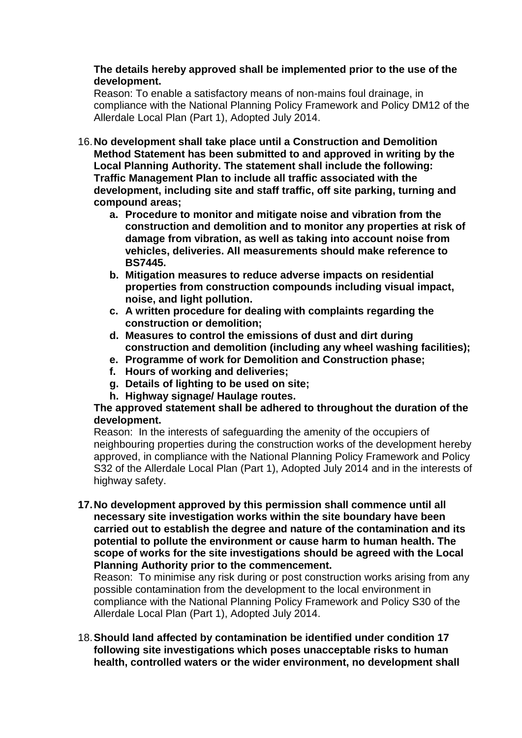#### **The details hereby approved shall be implemented prior to the use of the development.**

Reason: To enable a satisfactory means of non-mains foul drainage, in compliance with the National Planning Policy Framework and Policy DM12 of the Allerdale Local Plan (Part 1), Adopted July 2014.

- 16.**No development shall take place until a Construction and Demolition Method Statement has been submitted to and approved in writing by the Local Planning Authority. The statement shall include the following: Traffic Management Plan to include all traffic associated with the development, including site and staff traffic, off site parking, turning and compound areas;**
	- **a. Procedure to monitor and mitigate noise and vibration from the construction and demolition and to monitor any properties at risk of damage from vibration, as well as taking into account noise from vehicles, deliveries. All measurements should make reference to BS7445.**
	- **b. Mitigation measures to reduce adverse impacts on residential properties from construction compounds including visual impact, noise, and light pollution.**
	- **c. A written procedure for dealing with complaints regarding the construction or demolition;**
	- **d. Measures to control the emissions of dust and dirt during construction and demolition (including any wheel washing facilities);**
	- **e. Programme of work for Demolition and Construction phase;**
	- **f. Hours of working and deliveries;**
	- **g. Details of lighting to be used on site;**
	- **h. Highway signage/ Haulage routes.**

#### **The approved statement shall be adhered to throughout the duration of the development.**

Reason: In the interests of safeguarding the amenity of the occupiers of neighbouring properties during the construction works of the development hereby approved, in compliance with the National Planning Policy Framework and Policy S32 of the Allerdale Local Plan (Part 1), Adopted July 2014 and in the interests of highway safety.

**17.No development approved by this permission shall commence until all necessary site investigation works within the site boundary have been carried out to establish the degree and nature of the contamination and its potential to pollute the environment or cause harm to human health. The scope of works for the site investigations should be agreed with the Local Planning Authority prior to the commencement.**

Reason: To minimise any risk during or post construction works arising from any possible contamination from the development to the local environment in compliance with the National Planning Policy Framework and Policy S30 of the Allerdale Local Plan (Part 1), Adopted July 2014.

18.**Should land affected by contamination be identified under condition 17 following site investigations which poses unacceptable risks to human health, controlled waters or the wider environment, no development shall**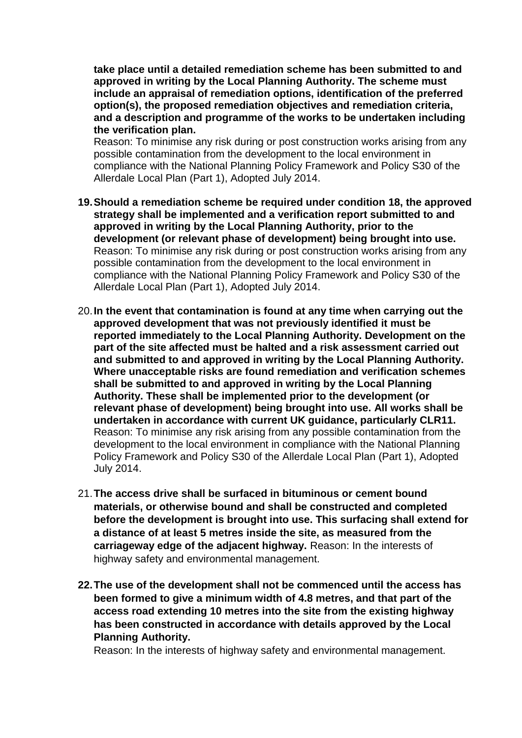**take place until a detailed remediation scheme has been submitted to and approved in writing by the Local Planning Authority. The scheme must include an appraisal of remediation options, identification of the preferred option(s), the proposed remediation objectives and remediation criteria, and a description and programme of the works to be undertaken including the verification plan.**

Reason: To minimise any risk during or post construction works arising from any possible contamination from the development to the local environment in compliance with the National Planning Policy Framework and Policy S30 of the Allerdale Local Plan (Part 1), Adopted July 2014.

- **19.Should a remediation scheme be required under condition 18, the approved strategy shall be implemented and a verification report submitted to and approved in writing by the Local Planning Authority, prior to the development (or relevant phase of development) being brought into use.** Reason: To minimise any risk during or post construction works arising from any possible contamination from the development to the local environment in compliance with the National Planning Policy Framework and Policy S30 of the Allerdale Local Plan (Part 1), Adopted July 2014.
- 20.**In the event that contamination is found at any time when carrying out the approved development that was not previously identified it must be reported immediately to the Local Planning Authority. Development on the part of the site affected must be halted and a risk assessment carried out and submitted to and approved in writing by the Local Planning Authority. Where unacceptable risks are found remediation and verification schemes shall be submitted to and approved in writing by the Local Planning Authority. These shall be implemented prior to the development (or relevant phase of development) being brought into use. All works shall be undertaken in accordance with current UK guidance, particularly CLR11.** Reason: To minimise any risk arising from any possible contamination from the development to the local environment in compliance with the National Planning Policy Framework and Policy S30 of the Allerdale Local Plan (Part 1), Adopted July 2014.
- 21.**The access drive shall be surfaced in bituminous or cement bound materials, or otherwise bound and shall be constructed and completed before the development is brought into use. This surfacing shall extend for a distance of at least 5 metres inside the site, as measured from the carriageway edge of the adjacent highway.** Reason: In the interests of highway safety and environmental management.
- **22.The use of the development shall not be commenced until the access has been formed to give a minimum width of 4.8 metres, and that part of the access road extending 10 metres into the site from the existing highway has been constructed in accordance with details approved by the Local Planning Authority.**

Reason: In the interests of highway safety and environmental management.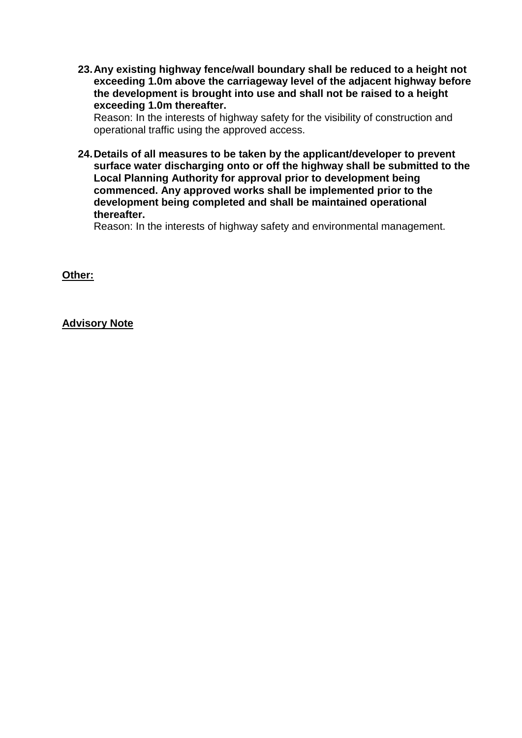**23.Any existing highway fence/wall boundary shall be reduced to a height not exceeding 1.0m above the carriageway level of the adjacent highway before the development is brought into use and shall not be raised to a height exceeding 1.0m thereafter.** 

Reason: In the interests of highway safety for the visibility of construction and operational traffic using the approved access.

**24.Details of all measures to be taken by the applicant/developer to prevent surface water discharging onto or off the highway shall be submitted to the Local Planning Authority for approval prior to development being commenced. Any approved works shall be implemented prior to the development being completed and shall be maintained operational thereafter.** 

Reason: In the interests of highway safety and environmental management.

**Other:** 

**Advisory Note**